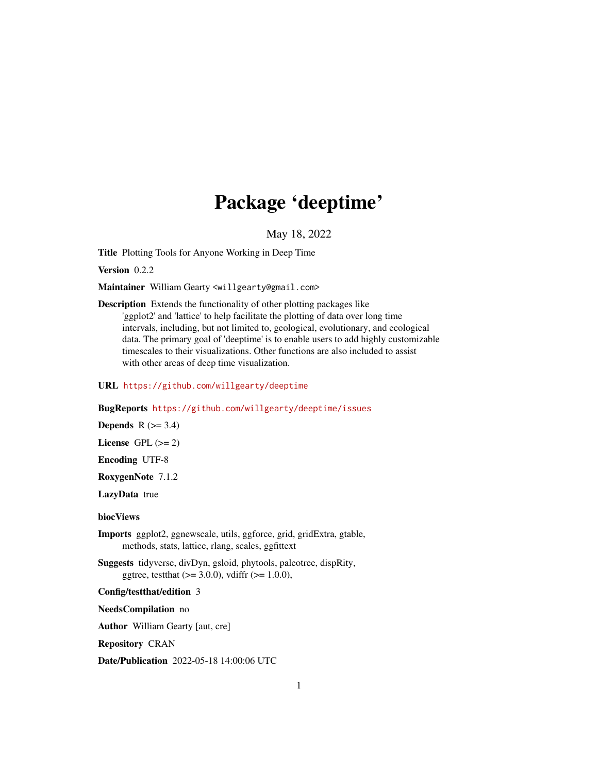## Package 'deeptime'

May 18, 2022

<span id="page-0-0"></span>Title Plotting Tools for Anyone Working in Deep Time

Version 0.2.2

Maintainer William Gearty <willgearty@gmail.com>

Description Extends the functionality of other plotting packages like 'ggplot2' and 'lattice' to help facilitate the plotting of data over long time intervals, including, but not limited to, geological, evolutionary, and ecological data. The primary goal of 'deeptime' is to enable users to add highly customizable timescales to their visualizations. Other functions are also included to assist with other areas of deep time visualization.

#### URL <https://github.com/willgearty/deeptime>

#### BugReports <https://github.com/willgearty/deeptime/issues>

Depends  $R$  ( $>= 3.4$ )

License GPL  $(>= 2)$ 

Encoding UTF-8

RoxygenNote 7.1.2

LazyData true

#### biocViews

Imports ggplot2, ggnewscale, utils, ggforce, grid, gridExtra, gtable, methods, stats, lattice, rlang, scales, ggfittext

Suggests tidyverse, divDyn, gsloid, phytools, paleotree, dispRity, ggtree, testthat  $(>= 3.0.0)$ , vdiffr  $(>= 1.0.0)$ ,

#### Config/testthat/edition 3

NeedsCompilation no

Author William Gearty [aut, cre]

Repository CRAN

Date/Publication 2022-05-18 14:00:06 UTC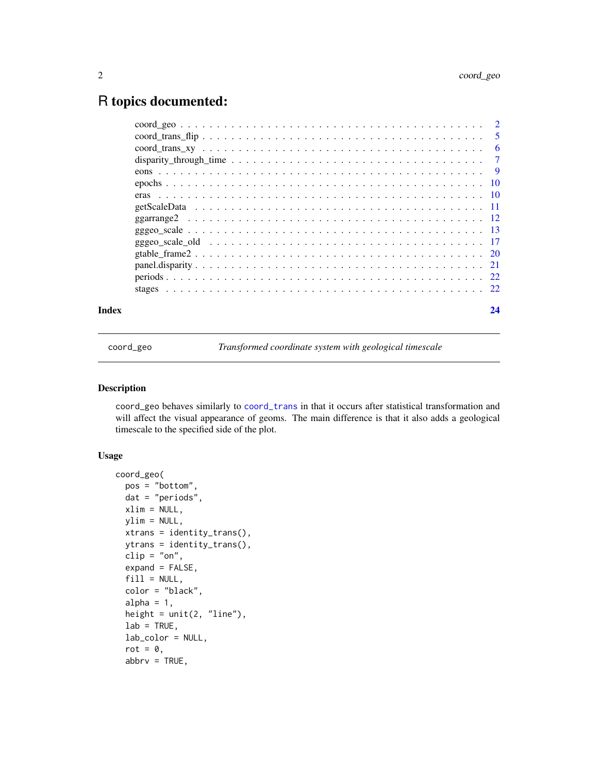### <span id="page-1-0"></span>R topics documented:

| Index | 24 |
|-------|----|
|       |    |
|       |    |
|       |    |
|       |    |
|       |    |
|       |    |
|       |    |
|       |    |
|       |    |
|       |    |
|       |    |
|       |    |
|       |    |
|       |    |
|       |    |

coord\_geo *Transformed coordinate system with geological timescale*

#### Description

coord\_geo behaves similarly to [coord\\_trans](#page-0-0) in that it occurs after statistical transformation and will affect the visual appearance of geoms. The main difference is that it also adds a geological timescale to the specified side of the plot.

#### Usage

```
coord_geo(
 pos = "bottom",
  dat = "periods",
  xlim = NULL,ylim = NULL,
  xtrans = identity_trans(),
 ytrans = identity_trans(),
  clip = "on",
  expand = FALSE,fill = NULL,color = "black",
  alpha = 1,
  height = unit(2, 'line''),
  lab = TRUE,lab_color = NULL,
  rot = 0,
  abbrv = TRUE,
```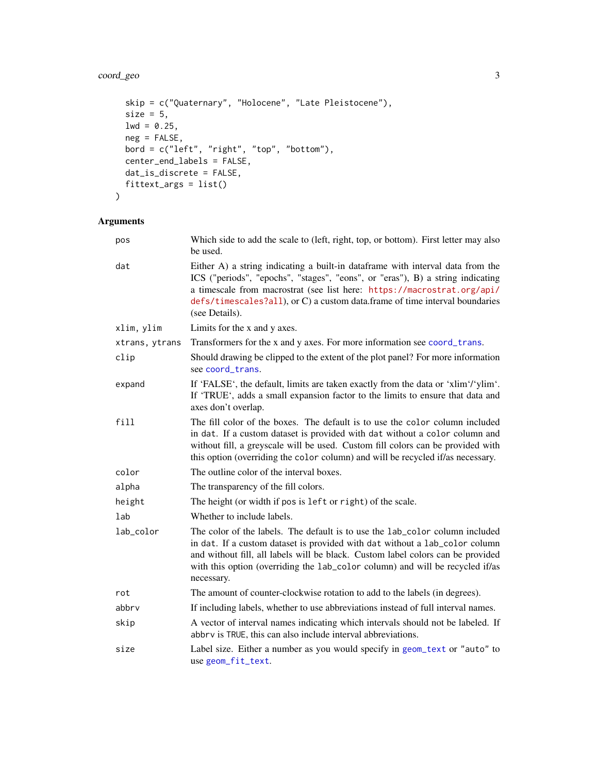#### <span id="page-2-0"></span>coord\_geo 3

```
skip = c("Quaternary", "Holocene", "Late Pleistocene"),
 size = 5,
 1wd = 0.25,
 neg = FALSE,
 bord = c("left", "right", "top", "bottom"),
 center_end_labels = FALSE,
 dat_is_discrete = FALSE,
 fittext_args = list()
\mathcal{L}
```

| pos            | Which side to add the scale to (left, right, top, or bottom). First letter may also<br>be used.                                                                                                                                                                                                                                               |
|----------------|-----------------------------------------------------------------------------------------------------------------------------------------------------------------------------------------------------------------------------------------------------------------------------------------------------------------------------------------------|
| dat            | Either A) a string indicating a built-in dataframe with interval data from the<br>ICS ("periods", "epochs", "stages", "eons", or "eras"), B) a string indicating<br>a timescale from macrostrat (see list here: https://macrostrat.org/api/<br>defs/timescales?all), or C) a custom data.frame of time interval boundaries<br>(see Details).  |
| xlim, ylim     | Limits for the x and y axes.                                                                                                                                                                                                                                                                                                                  |
| xtrans, ytrans | Transformers for the x and y axes. For more information see coord_trans.                                                                                                                                                                                                                                                                      |
| clip           | Should drawing be clipped to the extent of the plot panel? For more information<br>see coord_trans.                                                                                                                                                                                                                                           |
| expand         | If 'FALSE', the default, limits are taken exactly from the data or 'xlim'/'ylim'.<br>If 'TRUE', adds a small expansion factor to the limits to ensure that data and<br>axes don't overlap.                                                                                                                                                    |
| fill           | The fill color of the boxes. The default is to use the color column included<br>in dat. If a custom dataset is provided with dat without a color column and<br>without fill, a greyscale will be used. Custom fill colors can be provided with<br>this option (overriding the color column) and will be recycled if/as necessary.             |
| color          | The outline color of the interval boxes.                                                                                                                                                                                                                                                                                                      |
| alpha          | The transparency of the fill colors.                                                                                                                                                                                                                                                                                                          |
| height         | The height (or width if pos is left or right) of the scale.                                                                                                                                                                                                                                                                                   |
| lab            | Whether to include labels.                                                                                                                                                                                                                                                                                                                    |
| lab_color      | The color of the labels. The default is to use the lab_color column included<br>in dat. If a custom dataset is provided with dat without a lab_color column<br>and without fill, all labels will be black. Custom label colors can be provided<br>with this option (overriding the lab_color column) and will be recycled if/as<br>necessary. |
| rot            | The amount of counter-clockwise rotation to add to the labels (in degrees).                                                                                                                                                                                                                                                                   |
| abbrv          | If including labels, whether to use abbreviations instead of full interval names.                                                                                                                                                                                                                                                             |
| skip           | A vector of interval names indicating which intervals should not be labeled. If<br>abbrv is TRUE, this can also include interval abbreviations.                                                                                                                                                                                               |
| size           | Label size. Either a number as you would specify in geom_text or "auto" to<br>use geom_fit_text.                                                                                                                                                                                                                                              |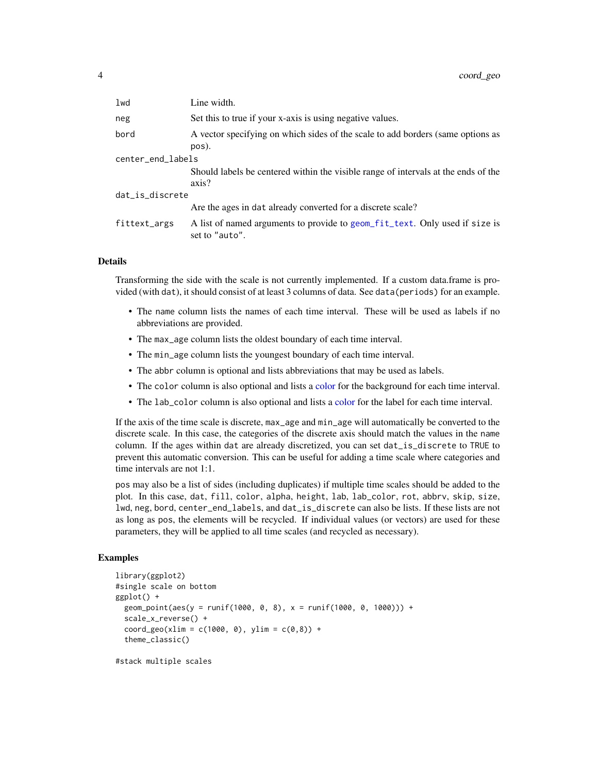<span id="page-3-0"></span>

| lwd               | Line width.                                                                                   |  |
|-------------------|-----------------------------------------------------------------------------------------------|--|
| neg               | Set this to true if your x-axis is using negative values.                                     |  |
| bord              | A vector specifying on which sides of the scale to add borders (same options as<br>pos).      |  |
| center_end_labels |                                                                                               |  |
|                   | Should labels be centered within the visible range of intervals at the ends of the<br>axis?   |  |
| dat_is_discrete   |                                                                                               |  |
|                   | Are the ages in dat already converted for a discrete scale?                                   |  |
| fittext_args      | A list of named arguments to provide to geom_fit_text. Only used if size is<br>set to "auto". |  |

#### Details

Transforming the side with the scale is not currently implemented. If a custom data.frame is provided (with dat), it should consist of at least 3 columns of data. See data(periods) for an example.

- The name column lists the names of each time interval. These will be used as labels if no abbreviations are provided.
- The max\_age column lists the oldest boundary of each time interval.
- The min\_age column lists the youngest boundary of each time interval.
- The abbr column is optional and lists abbreviations that may be used as labels.
- The color column is also optional and lists a [color](#page-0-0) for the background for each time interval.
- The lab\_color column is also optional and lists a [color](#page-0-0) for the label for each time interval.

If the axis of the time scale is discrete, max\_age and min\_age will automatically be converted to the discrete scale. In this case, the categories of the discrete axis should match the values in the name column. If the ages within dat are already discretized, you can set dat\_is\_discrete to TRUE to prevent this automatic conversion. This can be useful for adding a time scale where categories and time intervals are not 1:1.

pos may also be a list of sides (including duplicates) if multiple time scales should be added to the plot. In this case, dat, fill, color, alpha, height, lab, lab\_color, rot, abbrv, skip, size, lwd, neg, bord, center\_end\_labels, and dat\_is\_discrete can also be lists. If these lists are not as long as pos, the elements will be recycled. If individual values (or vectors) are used for these parameters, they will be applied to all time scales (and recycled as necessary).

#### Examples

```
library(ggplot2)
#single scale on bottom
ggplot() +
 geom\_point(aes(y = runif(1000, 0, 8), x = runif(1000, 0, 1000))) +scale_x_reverse() +
 coord\_geo(xlim = c(1000, 0), ylim = c(0, 8)) +theme_classic()
```
#stack multiple scales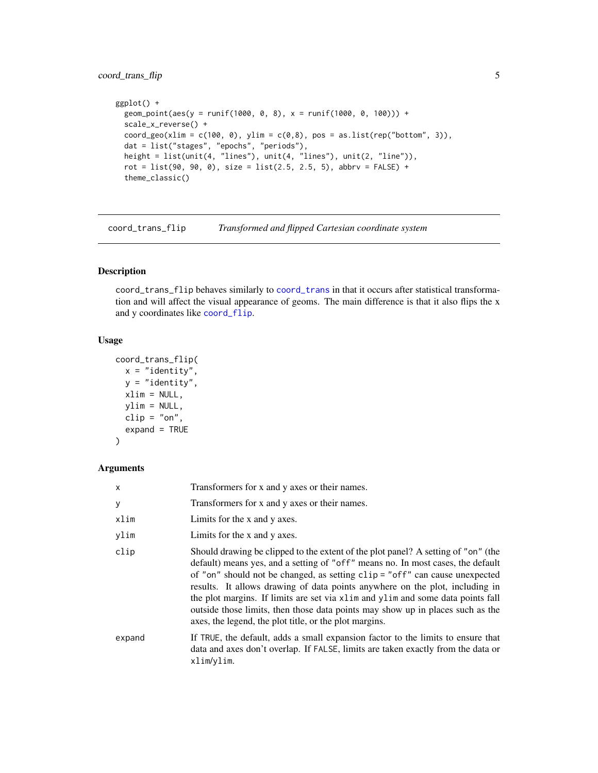#### <span id="page-4-0"></span>coord\_trans\_flip 5

```
ggplot() +
  geom\_point(aes(y = runif(1000, 0, 8), x = runif(1000, 0, 100))) +scale_x_reverse() +
  coord\_geo(xlim = c(100, 0), ylim = c(0,8), pos = as.list(rep("bottom", 3)),dat = list("stages", "epochs", "periods"),
  height = list(unit(4, "lines"), unit(4, "lines"), unit(2, "line")),
  rot = list(90, 90, 0), size = list(2.5, 2.5, 5), abbrv = FALSE) +
  theme_classic()
```
coord\_trans\_flip *Transformed and flipped Cartesian coordinate system*

#### Description

coord\_trans\_flip behaves similarly to [coord\\_trans](#page-0-0) in that it occurs after statistical transformation and will affect the visual appearance of geoms. The main difference is that it also flips the x and y coordinates like [coord\\_flip](#page-0-0).

#### Usage

```
coord_trans_flip(
 x = "identity",y = "identity",xlim = NULL,ylim = NULL,
 clip = "on",expand = TRUE)
```

| X      | Transformers for x and y axes or their names.                                                                                                                                                                                                                                                                                                                                                                                                                                                                                                                          |
|--------|------------------------------------------------------------------------------------------------------------------------------------------------------------------------------------------------------------------------------------------------------------------------------------------------------------------------------------------------------------------------------------------------------------------------------------------------------------------------------------------------------------------------------------------------------------------------|
| У      | Transformers for x and y axes or their names.                                                                                                                                                                                                                                                                                                                                                                                                                                                                                                                          |
| xlim   | Limits for the x and y axes.                                                                                                                                                                                                                                                                                                                                                                                                                                                                                                                                           |
| vlim   | Limits for the x and y axes.                                                                                                                                                                                                                                                                                                                                                                                                                                                                                                                                           |
| clip   | Should drawing be clipped to the extent of the plot panel? A setting of "on" (the<br>default) means yes, and a setting of "off" means no. In most cases, the default<br>of "on" should not be changed, as setting clip = "off" can cause unexpected<br>results. It allows drawing of data points anywhere on the plot, including in<br>the plot margins. If limits are set via x l im and y l im and some data points fall<br>outside those limits, then those data points may show up in places such as the<br>axes, the legend, the plot title, or the plot margins. |
| expand | If TRUE, the default, adds a small expansion factor to the limits to ensure that<br>data and axes don't overlap. If FALSE, limits are taken exactly from the data or<br>xlim/ylim.                                                                                                                                                                                                                                                                                                                                                                                     |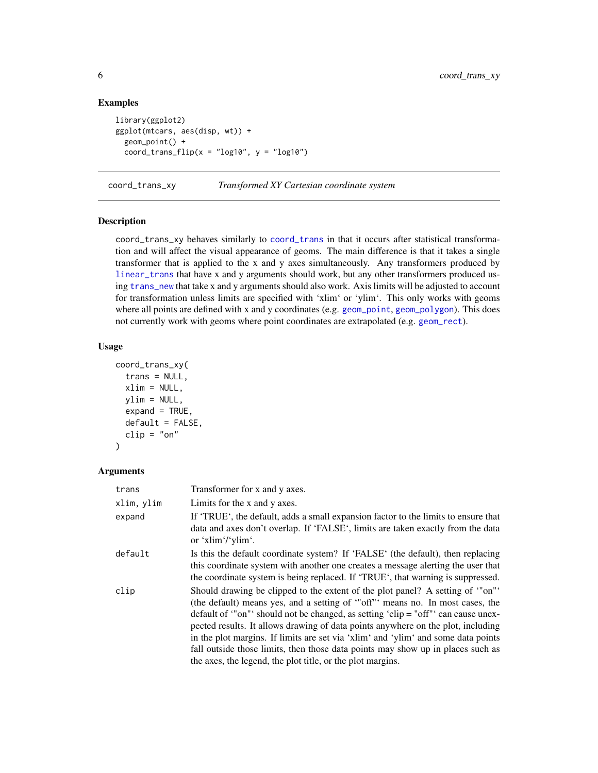#### Examples

```
library(ggplot2)
ggplot(mtcars, aes(disp, wt)) +
 geom_point() +
 coord_trans_flip(x = "log10", y = "log10")
```
coord\_trans\_xy *Transformed XY Cartesian coordinate system*

#### Description

coord\_trans\_xy behaves similarly to [coord\\_trans](#page-0-0) in that it occurs after statistical transformation and will affect the visual appearance of geoms. The main difference is that it takes a single transformer that is applied to the x and y axes simultaneously. Any transformers produced by [linear\\_trans](#page-0-0) that have x and y arguments should work, but any other transformers produced using [trans\\_new](#page-0-0) that take x and y arguments should also work. Axis limits will be adjusted to account for transformation unless limits are specified with 'xlim' or 'ylim'. This only works with geoms where all points are defined with x and y coordinates (e.g. [geom\\_point](#page-0-0), [geom\\_polygon](#page-0-0)). This does not currently work with geoms where point coordinates are extrapolated (e.g. [geom\\_rect](#page-0-0)).

#### Usage

```
coord_trans_xy(
  trans = NULL,
  xlim = NULL,vlim = NULL,expand = TRUE,default = FALSE,clip = "on"\lambda
```

| trans      | Transformer for x and y axes.                                                                                                                                                                                                                                                                                                                                                                                                                                                                               |
|------------|-------------------------------------------------------------------------------------------------------------------------------------------------------------------------------------------------------------------------------------------------------------------------------------------------------------------------------------------------------------------------------------------------------------------------------------------------------------------------------------------------------------|
| xlim, ylim | Limits for the x and y axes.                                                                                                                                                                                                                                                                                                                                                                                                                                                                                |
| expand     | If 'TRUE', the default, adds a small expansion factor to the limits to ensure that<br>data and axes don't overlap. If 'FALSE', limits are taken exactly from the data<br>or 'x $\lim$ '/'y $\lim$ '.                                                                                                                                                                                                                                                                                                        |
| default    | Is this the default coordinate system? If 'FALSE' (the default), then replacing<br>this coordinate system with another one creates a message alerting the user that<br>the coordinate system is being replaced. If 'TRUE', that warning is suppressed.                                                                                                                                                                                                                                                      |
| clip       | Should drawing be clipped to the extent of the plot panel? A setting of "on"<br>(the default) means yes, and a setting of "off" means no. In most cases, the<br>default of "on" should not be changed, as setting 'clip = "off" can cause unex-<br>pected results. It allows drawing of data points anywhere on the plot, including<br>in the plot margins. If limits are set via 'xlim' and 'ylim' and some data points<br>fall outside those limits, then those data points may show up in places such as |
|            | the axes, the legend, the plot title, or the plot margins.                                                                                                                                                                                                                                                                                                                                                                                                                                                  |

<span id="page-5-0"></span>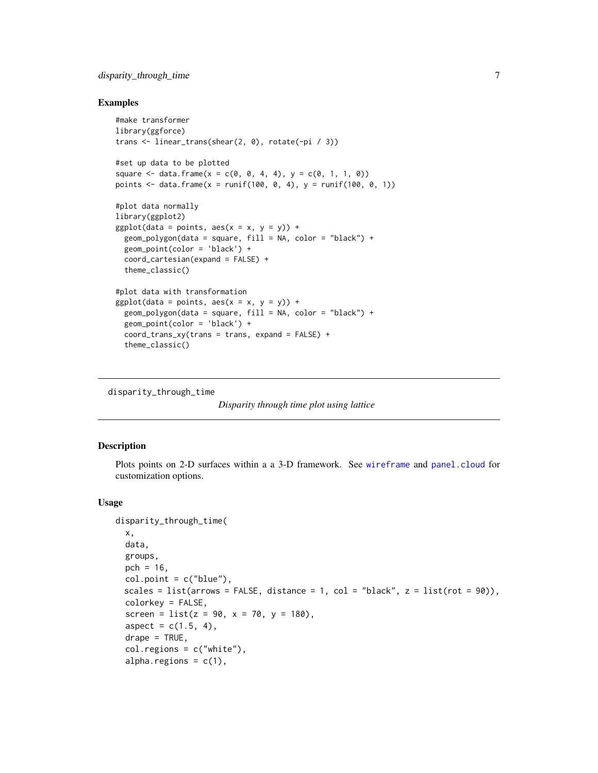#### <span id="page-6-0"></span>disparity\_through\_time 7

#### Examples

```
#make transformer
library(ggforce)
trans <- linear_trans(shear(2, 0), rotate(-pi / 3))
#set up data to be plotted
square \leq data.frame(x = c(0, 0, 4, 4), y = c(0, 1, 1, 0))
points <- data.frame(x = runif(100, 0, 4), y = runif(100, 0, 1))
#plot data normally
library(ggplot2)
ggplot(data = points, aes(x = x, y = y)) +geom_polygon(data = square, fill = NA, color = "black") +
 geom_point(color = 'black') +
 coord_cartesian(expand = FALSE) +
 theme_classic()
#plot data with transformation
ggplot(data = points, aes(x = x, y = y)) +geom_polygon(data = square, fill = NA, color = "black") +
 geom_point(color = 'black') +
 coord_{trans_xy(trans = trans, expand = FALSE) +theme_classic()
```

```
disparity_through_time
```

```
Disparity through time plot using lattice
```
#### Description

Plots points on 2-D surfaces within a a 3-D framework. See [wireframe](#page-0-0) and [panel.cloud](#page-0-0) for customization options.

#### Usage

```
disparity_through_time(
  x,
 data,
  groups,
 pch = 16,
  col.point = c("blue"),scales = list(arrows = FALSE, distance = 1, col = "black", z = list(rot = 90)),
  colorkey = FALSE,
  screen = list(z = 90, x = 70, y = 180),
  aspect = c(1.5, 4),drape = TRUE,col.regions = c("white"),
  alpha.regions = c(1),
```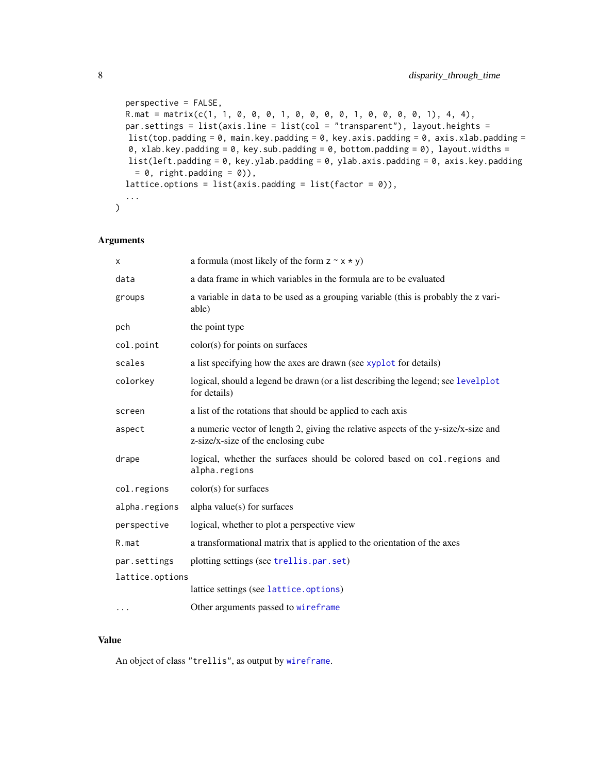```
perspective = FALSE,
R.\text{mat} = \text{matrix}(c(1, 1, 0, 0, 1, 0, 0, 0, 0, 1, 0, 0, 1, 0, 0, 0, 1), 4, 4),par.settings = list(axis.line = list(col = "transparent"), layout.heights =
list(top.padding = 0, main.key.padding = 0, key.axis.padding = 0, axis.xlab.padding =
0, xlab.key.padding = 0, key.sub.padding = 0, bottom.padding = 0), layout.widths =
list(left.padding = 0, key.ylab.padding = 0, ylab.axis.padding = 0, axis.key.padding
 = 0, right.padding = 0)),
lattice.options = list(axis.padding = list(factor = \emptyset)),
...
```
#### Arguments

 $\mathcal{L}$ 

| х               | a formula (most likely of the form $z \sim x \star y$ )                                                                   |
|-----------------|---------------------------------------------------------------------------------------------------------------------------|
| data            | a data frame in which variables in the formula are to be evaluated                                                        |
| groups          | a variable in data to be used as a grouping variable (this is probably the z vari-<br>able)                               |
| pch             | the point type                                                                                                            |
| col.point       | color(s) for points on surfaces                                                                                           |
| scales          | a list specifying how the axes are drawn (see xyplot for details)                                                         |
| colorkey        | logical, should a legend be drawn (or a list describing the legend; see levelplot<br>for details)                         |
| screen          | a list of the rotations that should be applied to each axis                                                               |
| aspect          | a numeric vector of length 2, giving the relative aspects of the y-size/x-size and<br>z-size/x-size of the enclosing cube |
| drape           | logical, whether the surfaces should be colored based on col. regions and<br>alpha.regions                                |
| col.regions     | color(s) for surfaces                                                                                                     |
| alpha.regions   | alpha value(s) for surfaces                                                                                               |
| perspective     | logical, whether to plot a perspective view                                                                               |
| R.mat           | a transformational matrix that is applied to the orientation of the axes                                                  |
| par.settings    | plotting settings (see trellis.par.set)                                                                                   |
| lattice.options |                                                                                                                           |
|                 | lattice settings (see lattice.options)                                                                                    |
| $\cdots$        | Other arguments passed to wireframe                                                                                       |

#### Value

An object of class "trellis", as output by [wireframe](#page-0-0).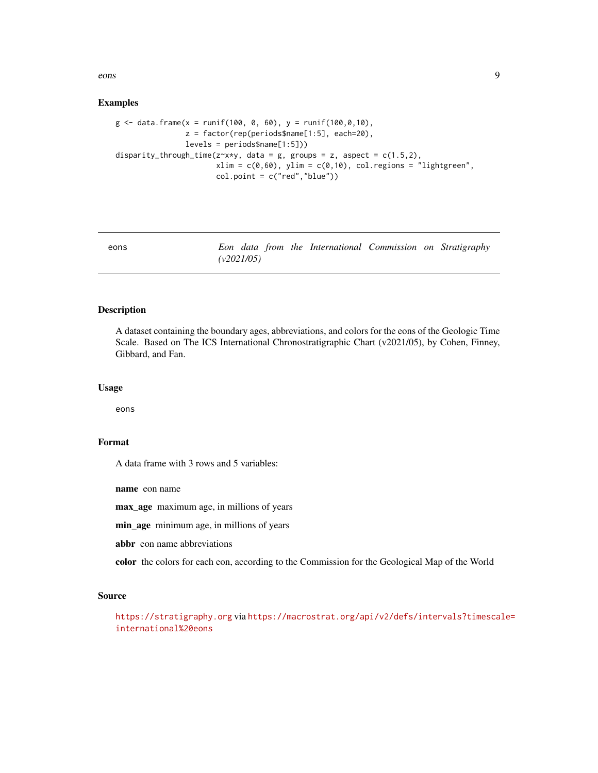<span id="page-8-0"></span>eons and the constant of the constant of the constant of the constant of the constant of the constant of the constant of the constant of the constant of the constant of the constant of the constant of the constant of the c

#### Examples

```
g \le - data.frame(x = runif(100, 0, 60), y = runif(100,0,10),
                z = factor(rep(periods$name[1:5], each=20),
                levels = periods$name[1:5]))
disparity_through_time(z~x*y, data = g, groups = z, aspect = c(1.5,2),
                       xlim = c(0,60), ylim = c(0,10), col.regions = "lightgreen",
                       col.point = c("red","blue"))
```
eons *Eon data from the International Commission on Stratigraphy (v2021/05)*

#### Description

A dataset containing the boundary ages, abbreviations, and colors for the eons of the Geologic Time Scale. Based on The ICS International Chronostratigraphic Chart (v2021/05), by Cohen, Finney, Gibbard, and Fan.

#### Usage

eons

#### Format

A data frame with 3 rows and 5 variables:

name eon name

max\_age maximum age, in millions of years

min\_age minimum age, in millions of years

abbr eon name abbreviations

color the colors for each eon, according to the Commission for the Geological Map of the World

#### Source

<https://stratigraphy.org> via [https://macrostrat.org/api/v2/defs/intervals?timescal](https://macrostrat.org/api/v2/defs/intervals?timescale=international%20eons)e= [international%20eons](https://macrostrat.org/api/v2/defs/intervals?timescale=international%20eons)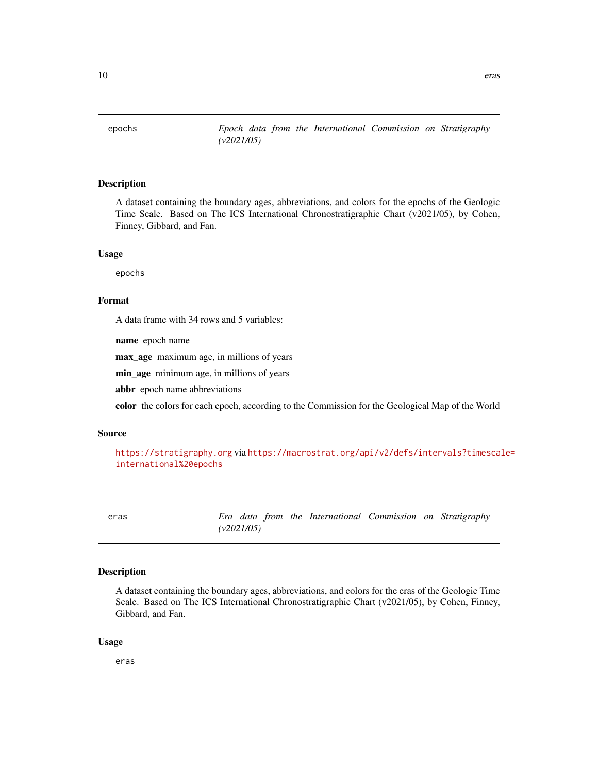<span id="page-9-0"></span>

#### Description

A dataset containing the boundary ages, abbreviations, and colors for the epochs of the Geologic Time Scale. Based on The ICS International Chronostratigraphic Chart (v2021/05), by Cohen, Finney, Gibbard, and Fan.

#### Usage

epochs

#### Format

A data frame with 34 rows and 5 variables:

name epoch name

max\_age maximum age, in millions of years

min\_age minimum age, in millions of years

abbr epoch name abbreviations

color the colors for each epoch, according to the Commission for the Geological Map of the World

#### Source

```
https://stratigraphy.org via https://macrostrat.org/api/v2/defs/intervals?timescale=
international%20epochs
```
eras *Era data from the International Commission on Stratigraphy (v2021/05)*

#### Description

A dataset containing the boundary ages, abbreviations, and colors for the eras of the Geologic Time Scale. Based on The ICS International Chronostratigraphic Chart (v2021/05), by Cohen, Finney, Gibbard, and Fan.

#### Usage

eras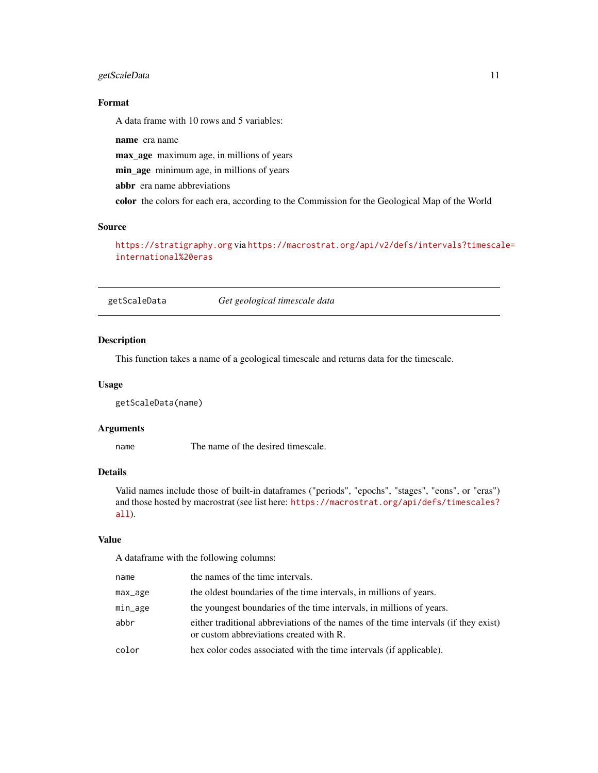#### <span id="page-10-0"></span>getScaleData 11

#### Format

A data frame with 10 rows and 5 variables:

name era name

max\_age maximum age, in millions of years

min\_age minimum age, in millions of years

abbr era name abbreviations

color the colors for each era, according to the Commission for the Geological Map of the World

#### Source

<https://stratigraphy.org> via [https://macrostrat.org/api/v2/defs/intervals?timescal](https://macrostrat.org/api/v2/defs/intervals?timescale=international%20eras)e= [international%20eras](https://macrostrat.org/api/v2/defs/intervals?timescale=international%20eras)

getScaleData *Get geological timescale data*

#### Description

This function takes a name of a geological timescale and returns data for the timescale.

#### Usage

getScaleData(name)

#### Arguments

name The name of the desired timescale.

#### Details

Valid names include those of built-in dataframes ("periods", "epochs", "stages", "eons", or "eras") and those hosted by macrostrat (see list here: [https://macrostrat.org/api/defs/timescales?](https://macrostrat.org/api/defs/timescales?all) [all](https://macrostrat.org/api/defs/timescales?all)).

#### Value

A dataframe with the following columns:

| name    | the names of the time intervals.                                                                                               |
|---------|--------------------------------------------------------------------------------------------------------------------------------|
| max_age | the oldest boundaries of the time intervals, in millions of years.                                                             |
| min_age | the youngest boundaries of the time intervals, in millions of years.                                                           |
| abbr    | either traditional abbreviations of the names of the time intervals (if they exist)<br>or custom abbreviations created with R. |
| color   | hex color codes associated with the time intervals (if applicable).                                                            |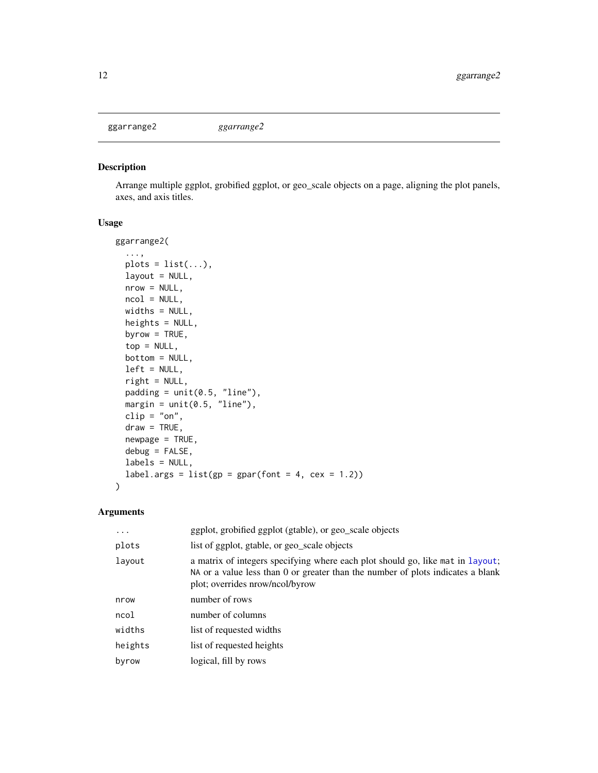<span id="page-11-0"></span>ggarrange2 *ggarrange2*

#### Description

Arrange multiple ggplot, grobified ggplot, or geo\_scale objects on a page, aligning the plot panels, axes, and axis titles.

#### Usage

```
ggarrange2(
  ...,
 plots = list(...),
 layout = NULL,
 nrow = NULL,ncol = NULL,widths = NULL,
 heights = NULL,
 byrow = TRUE,
  top = NULL,bottom = NULL,
  left = NULL,
  right = NULL,
 padding = unit(0.5, 'line'),margin = unit(0.5, 'line''),
 clip = "on",draw = TRUE,
 newpage = TRUE,debug = FALSE,
  labels = NULL,
  label.args = list(gp = gpar(font = 4, cex = 1.2))\mathcal{L}
```

| .       | ggplot, grobified ggplot (gtable), or geo_scale objects                                                                                                                                              |
|---------|------------------------------------------------------------------------------------------------------------------------------------------------------------------------------------------------------|
| plots   | list of ggplot, gtable, or geo_scale objects                                                                                                                                                         |
| layout  | a matrix of integers specifying where each plot should go, like mat in layout;<br>NA or a value less than 0 or greater than the number of plots indicates a blank<br>plot; overrides nrow/ncol/byrow |
| nrow    | number of rows                                                                                                                                                                                       |
| ncol    | number of columns                                                                                                                                                                                    |
| widths  | list of requested widths                                                                                                                                                                             |
| heights | list of requested heights                                                                                                                                                                            |
| byrow   | logical, fill by rows                                                                                                                                                                                |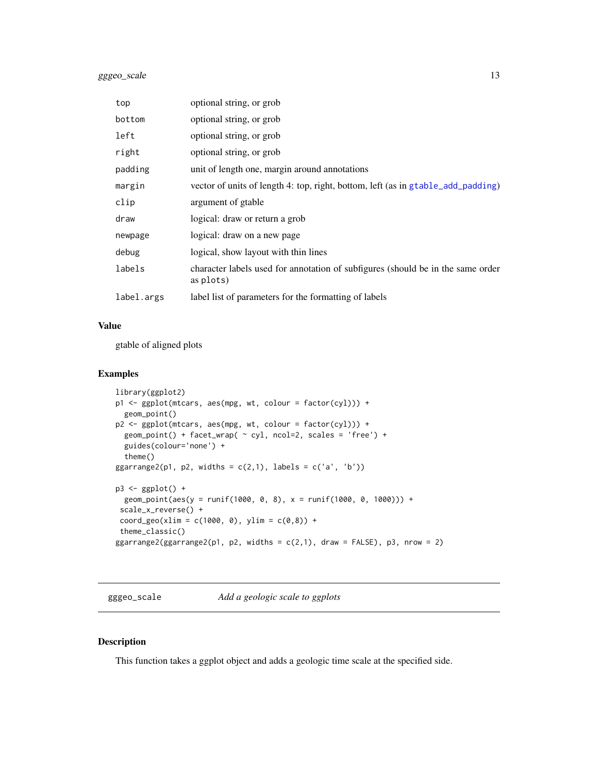#### <span id="page-12-0"></span>gggeo\_scale 13

| top        | optional string, or grob                                                                     |
|------------|----------------------------------------------------------------------------------------------|
| bottom     | optional string, or grob                                                                     |
| left       | optional string, or grob                                                                     |
| right      | optional string, or grob                                                                     |
| padding    | unit of length one, margin around annotations                                                |
| margin     | vector of units of length 4: top, right, bottom, left (as in gtable_add_padding)             |
| clip       | argument of gtable                                                                           |
| draw       | logical: draw or return a grob                                                               |
| newpage    | logical: draw on a new page                                                                  |
| debug      | logical, show layout with thin lines                                                         |
| labels     | character labels used for annotation of subfigures (should be in the same order<br>as plots) |
| label.args | label list of parameters for the formatting of labels                                        |

#### Value

gtable of aligned plots

#### Examples

```
library(ggplot2)
p1 <- ggplot(mtcars, aes(mpg, wt, colour = factor(cyl))) +
  geom_point()
p2 <- ggplot(mtcars, aes(mpg, wt, colour = factor(cyl))) +
 geom_point() + facet_wrap( ~ cyl, ncol=2, scales = 'free') +
  guides(colour='none') +
  theme()
ggarrange2(p1, p2, widths = c(2,1), labels = c('a', 'b'))p3 <- ggplot() +
  geom_point(aes(y = runif(1000, 0, 8), x = runif(1000, 0, 1000))) +
 scale_x_reverse() +
 coord\_geo(xlim = c(1000, 0), ylim = c(0, 8)) +theme_classic()
ggarrange2(ggarrange2(p1, p2, widths = c(2,1), draw = FALSE), p3, nrow = 2)
```
gggeo\_scale *Add a geologic scale to ggplots*

#### Description

This function takes a ggplot object and adds a geologic time scale at the specified side.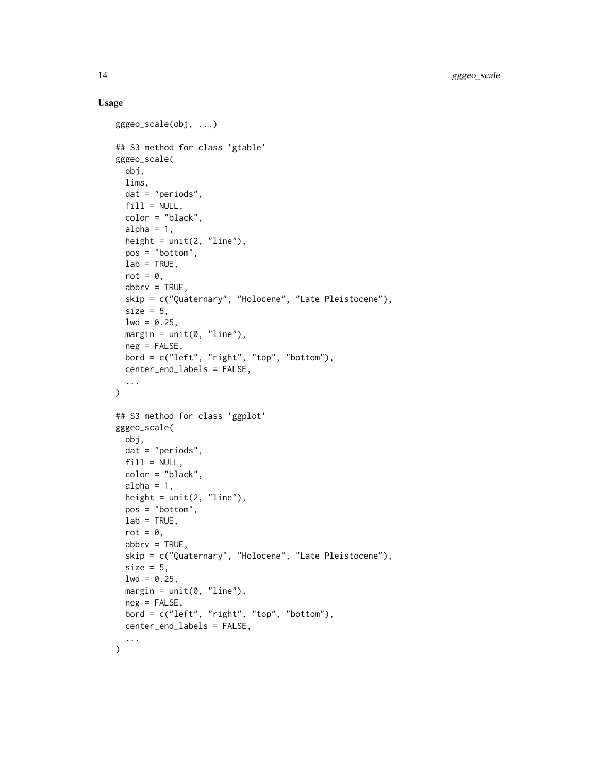#### Usage

```
gggeo_scale(obj, ...)
## S3 method for class 'gtable'
gggeo_scale(
 obj,
 lims,
 dat = "periods",
 fill = NULL,color = "black",
  alpha = 1,
 height = unit(2, 'line''),
  pos = "bottom",
  lab = TRUE,rot = \theta,
  abbrv = TRUE,skip = c("Quaternary", "Holocene", "Late Pleistocene"),
  size = 5,
 1wd = 0.25,
 margin = unit(0, "line"),neg = FALSE,bord = c("left", "right", "top", "bottom"),
 center_end_labels = FALSE,
  ...
\mathcal{L}## S3 method for class 'ggplot'
gggeo_scale(
 obj,
 dat = "periods",
 fill = NULL,color = "black",
  alpha = 1,
  height = unit(2, "line"),pos = "bottom",
 lab = TRUE,rot = \theta,
  abbrv = TRUE,skip = c("Quaternary", "Holocene", "Late Pleistocene"),
  size = 5,
  1wd = 0.25,
 margin = unit(0, "line"),neg = FALSE,
 bord = c("left", "right", "top", "bottom"),
  center_end_labels = FALSE,
  ...
\mathcal{L}
```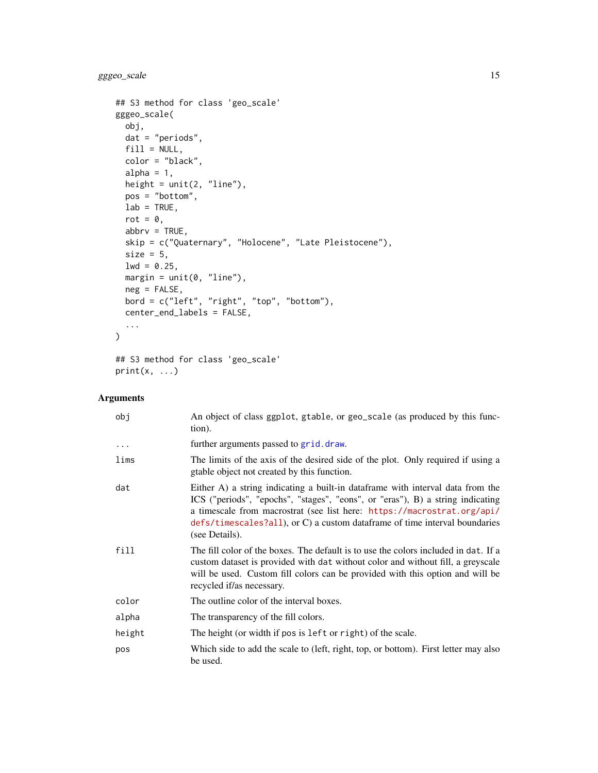<span id="page-14-0"></span>gggeo\_scale 15

```
## S3 method for class 'geo_scale'
gggeo_scale(
 obj,
 dat = "periods",
 fill = NULL,color = "black",
 alpha = 1,height = unit(2, 'line''),
 pos = "bottom",
 lab = TRUE,rot = \theta,
  abbrv = TRUE,skip = c("Quaternary", "Holocene", "Late Pleistocene"),
 size = 5,
 1wd = 0.25,
 margin = unit(0, 'line"),neg = FALSE,
 bord = c("left", "right", "top", "bottom"),
 center_end_labels = FALSE,
 ...
\mathcal{L}## S3 method for class 'geo_scale'
```

```
print(x, \ldots)
```

| obj      | An object of class ggplot, gtable, or geo_scale (as produced by this func-<br>tion).                                                                                                                                                                                                                                                        |
|----------|---------------------------------------------------------------------------------------------------------------------------------------------------------------------------------------------------------------------------------------------------------------------------------------------------------------------------------------------|
| $\cdots$ | further arguments passed to grid. draw.                                                                                                                                                                                                                                                                                                     |
| lims     | The limits of the axis of the desired side of the plot. Only required if using a<br>gtable object not created by this function.                                                                                                                                                                                                             |
| dat      | Either A) a string indicating a built-in dataframe with interval data from the<br>ICS ("periods", "epochs", "stages", "eons", or "eras"), B) a string indicating<br>a timescale from macrostrat (see list here: https://macrostrat.org/api/<br>defs/timescales?all), or C) a custom dataframe of time interval boundaries<br>(see Details). |
| fill     | The fill color of the boxes. The default is to use the colors included in dat. If a<br>custom dataset is provided with dat without color and without fill, a greyscale<br>will be used. Custom fill colors can be provided with this option and will be<br>recycled if/as necessary.                                                        |
| color    | The outline color of the interval boxes.                                                                                                                                                                                                                                                                                                    |
| alpha    | The transparency of the fill colors.                                                                                                                                                                                                                                                                                                        |
| height   | The height (or width if pos is left or right) of the scale.                                                                                                                                                                                                                                                                                 |
| pos      | Which side to add the scale to (left, right, top, or bottom). First letter may also<br>be used.                                                                                                                                                                                                                                             |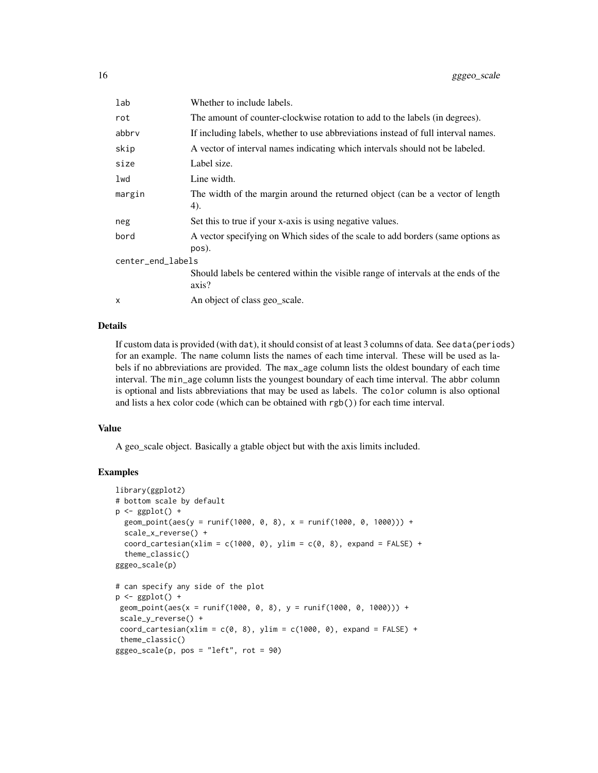| lab               | Whether to include labels.                                                                  |  |
|-------------------|---------------------------------------------------------------------------------------------|--|
| rot               | The amount of counter-clockwise rotation to add to the labels (in degrees).                 |  |
| abbrv             | If including labels, whether to use abbreviations instead of full interval names.           |  |
| skip              | A vector of interval names indicating which intervals should not be labeled.                |  |
| size              | Label size.                                                                                 |  |
| lwd               | Line width.                                                                                 |  |
| margin            | The width of the margin around the returned object (can be a vector of length<br>4).        |  |
| neg               | Set this to true if your x-axis is using negative values.                                   |  |
| bord              | A vector specifying on Which sides of the scale to add borders (same options as<br>pos).    |  |
| center_end_labels |                                                                                             |  |
|                   | Should labels be centered within the visible range of intervals at the ends of the<br>axis? |  |
| X                 | An object of class geo_scale.                                                               |  |

#### Details

If custom data is provided (with dat), it should consist of at least 3 columns of data. See data(periods) for an example. The name column lists the names of each time interval. These will be used as labels if no abbreviations are provided. The max\_age column lists the oldest boundary of each time interval. The min\_age column lists the youngest boundary of each time interval. The abbr column is optional and lists abbreviations that may be used as labels. The color column is also optional and lists a hex color code (which can be obtained with rgb()) for each time interval.

#### Value

A geo\_scale object. Basically a gtable object but with the axis limits included.

#### Examples

```
library(ggplot2)
# bottom scale by default
p \leftarrow ggplot() +
  geom\_point(aes(y = runif(1000, 0, 8), x = runif(1000, 0, 1000))) +scale_x_reverse() +
  coord\_cartesian(xlim = c(1000, 0), ylim = c(0, 8), expand = FALSE) +theme_classic()
gggeo_scale(p)
# can specify any side of the plot
p \leftarrow ggplot() +
 geom\_point(aes(x = runif(1000, 0, 8), y = runif(1000, 0, 1000))) +scale_y_reverse() +
 coord\_cartesian(xlim = c(0, 8), ylim = c(1000, 0), expand = FALSE) +theme_classic()
gggeo\_scale(p, pos = "left", rot = 90)
```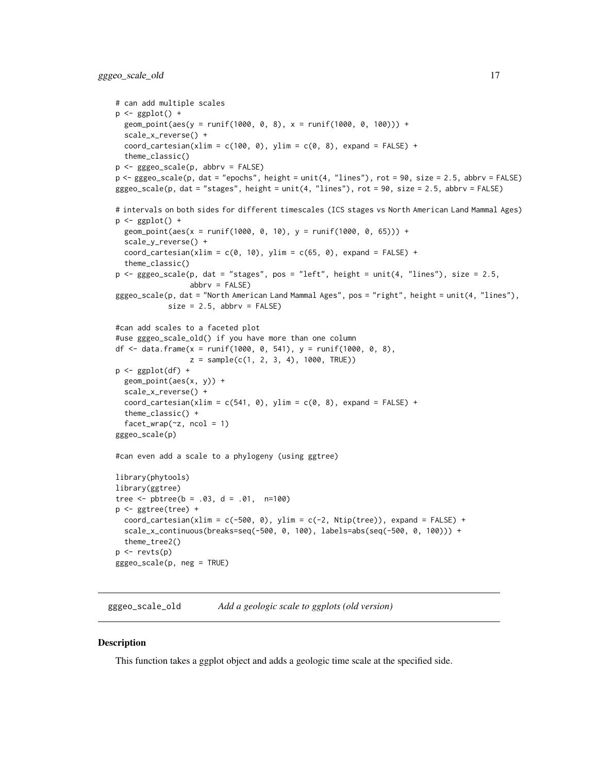#### <span id="page-16-0"></span>gggeo\_scale\_old 17

```
# can add multiple scales
p \leftarrow ggplot() +
  geom_point(aes(y = runif(1000, 0, 8), x = runif(1000, 0, 100))) +
  scale_x_reverse() +
  coord\_cartesian(xlim = c(100, 0), ylim = c(0, 8), expand = FALSE) +theme_classic()
p <- gggeo_scale(p, abbrv = FALSE)
p <- gggeo_scale(p, dat = "epochs", height = unit(4, "lines"), rot = 90, size = 2.5, abbrv = FALSE)
gggeo_scale(p, dat = "stages", height = unit(4, "lines"), rot = 90, size = 2.5, abbrv = FALSE)
# intervals on both sides for different timescales (ICS stages vs North American Land Mammal Ages)
p \leftarrow ggplot() +
  geom\_point(aes(x = runif(1000, 0, 10), y = runif(1000, 0, 65))) +
  scale_y_reverse() +
  coord\_cartesian(xlim = c(0, 10), ylim = c(65, 0), expand = FALSE) +theme_classic()
p <- gggeo_scale(p, dat = "stages", pos = "left", height = unit(4, "lines"), size = 2.5,
                 abbrv = FALSE)
gggeo_scale(p, dat = "North American Land Mammal Ages", pos = "right", height = unit(4, "lines"),
            size = 2.5, abbrv = FALSE#can add scales to a faceted plot
#use gggeo_scale_old() if you have more than one column
df <- data.frame(x = runif(1000, 0, 541), y = runif(1000, 0, 8),
                 z = sample(c(1, 2, 3, 4), 1000, TRUE)p <- ggplot(df) +
  geom_point(aes(x, y)) +
  scale_x_reverse() +
  coord\_cartesian(xlim = c(541, 0), ylim = c(0, 8), expand = FALSE) +theme_classic() +
  factor_{wrap(\sim z, \text{ ncol} = 1)}gggeo_scale(p)
#can even add a scale to a phylogeny (using ggtree)
library(phytools)
library(ggtree)
tree \le pbtree(b = .03, d = .01, n=100)
p <- ggtree(tree) +
  coord_cartesian(xlim = c(-500, 0), ylim = c(-2, Ntip(tree)), expand = FALSE) +
  scale_x_continuous(breaks=seq(-500, 0, 100), labels=abs(seq(-500, 0, 100))) +
  theme_tree2()
p <- revts(p)
gggeo_scale(p, neg = TRUE)
```
gggeo\_scale\_old *Add a geologic scale to ggplots (old version)*

#### **Description**

This function takes a ggplot object and adds a geologic time scale at the specified side.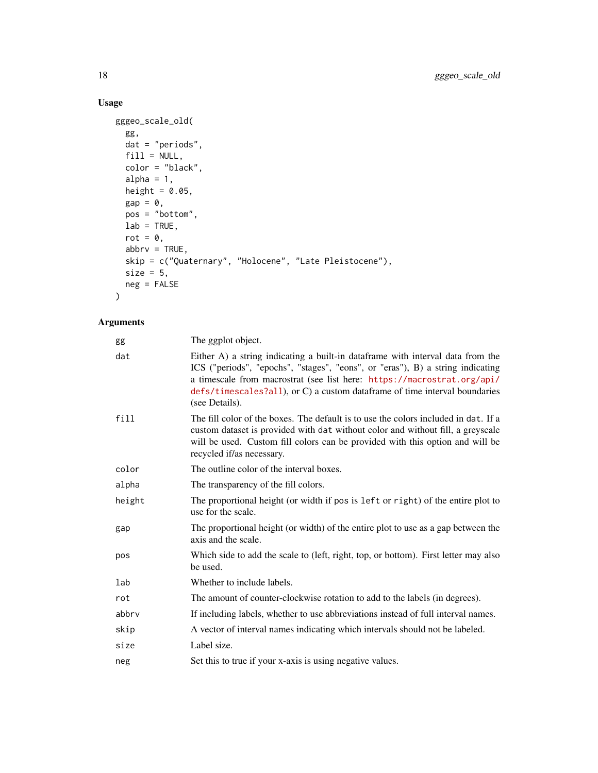#### Usage

```
gggeo_scale_old(
 gg,
 dat = "periods",
 fill = NULL,color = "black",
 alpha = 1,
 height = 0.05,
 gap = 0,pos = "bottom",
 lab = TRUE,rot = 0,
 abbrv = TRUE,skip = c("Quaternary", "Holocene", "Late Pleistocene"),
 size = 5,neg = FALSE
)
```

| gg     | The ggplot object.                                                                                                                                                                                                                                                                                                                           |
|--------|----------------------------------------------------------------------------------------------------------------------------------------------------------------------------------------------------------------------------------------------------------------------------------------------------------------------------------------------|
| dat    | Either A) a string indicating a built-in data frame with interval data from the<br>ICS ("periods", "epochs", "stages", "eons", or "eras"), B) a string indicating<br>a timescale from macrostrat (see list here: https://macrostrat.org/api/<br>defs/timescales?all), or C) a custom dataframe of time interval boundaries<br>(see Details). |
| fill   | The fill color of the boxes. The default is to use the colors included in dat. If a<br>custom dataset is provided with dat without color and without fill, a greyscale<br>will be used. Custom fill colors can be provided with this option and will be<br>recycled if/as necessary.                                                         |
| color  | The outline color of the interval boxes.                                                                                                                                                                                                                                                                                                     |
| alpha  | The transparency of the fill colors.                                                                                                                                                                                                                                                                                                         |
| height | The proportional height (or width if pos is left or right) of the entire plot to<br>use for the scale.                                                                                                                                                                                                                                       |
| gap    | The proportional height (or width) of the entire plot to use as a gap between the<br>axis and the scale.                                                                                                                                                                                                                                     |
| pos    | Which side to add the scale to (left, right, top, or bottom). First letter may also<br>be used.                                                                                                                                                                                                                                              |
| lab    | Whether to include labels.                                                                                                                                                                                                                                                                                                                   |
| rot    | The amount of counter-clockwise rotation to add to the labels (in degrees).                                                                                                                                                                                                                                                                  |
| abbrv  | If including labels, whether to use abbreviations instead of full interval names.                                                                                                                                                                                                                                                            |
| skip   | A vector of interval names indicating which intervals should not be labeled.                                                                                                                                                                                                                                                                 |
| size   | Label size.                                                                                                                                                                                                                                                                                                                                  |
| neg    | Set this to true if your x-axis is using negative values.                                                                                                                                                                                                                                                                                    |
|        |                                                                                                                                                                                                                                                                                                                                              |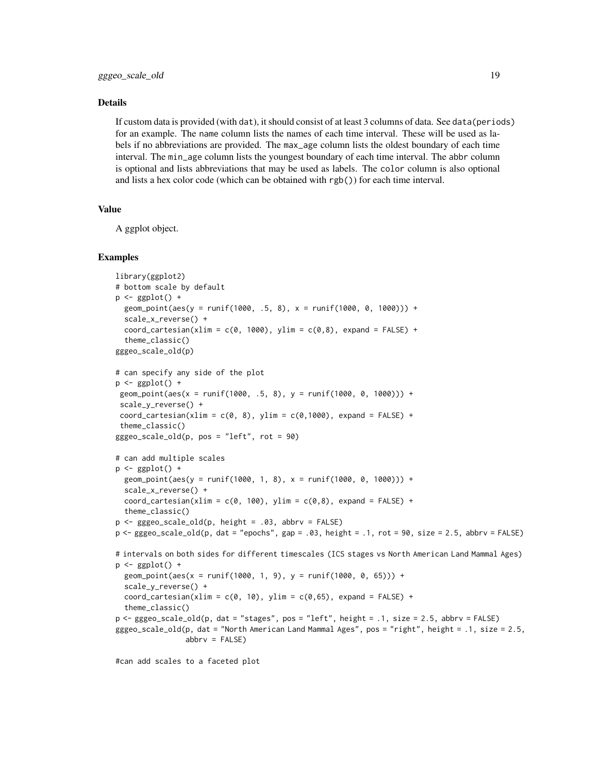#### Details

If custom data is provided (with dat), it should consist of at least 3 columns of data. See data(periods) for an example. The name column lists the names of each time interval. These will be used as labels if no abbreviations are provided. The max\_age column lists the oldest boundary of each time interval. The min\_age column lists the youngest boundary of each time interval. The abbr column is optional and lists abbreviations that may be used as labels. The color column is also optional and lists a hex color code (which can be obtained with rgb()) for each time interval.

#### Value

A ggplot object.

#### Examples

```
library(ggplot2)
# bottom scale by default
p \leftarrow ggplot() +
  geom\_point(aes(y = runif(1000, .5, 8), x = runif(1000, 0, 1000))) +scale_x_reverse() +
  coord_cartesian(xlim = c(0, 1000), ylim = c(0, 8), expand = FALSE) +
  theme_classic()
gggeo_scale_old(p)
# can specify any side of the plot
p \leftarrow ggplot() +
 geom_point(aes(x = runif(1000, .5, 8), y = runif(1000, 0, 1000))) +
 scale_y_reverse() +
 coord\_cartesian(xlim = c(0, 8), ylim = c(0,1000), expand = FALSE) +theme_classic()
gggeo_scale_old(p, pos = "left", rot = 90)
# can add multiple scales
p \leftarrow ggplot() +
  geom\_point(aes(y = runif(1000, 1, 8), x = runif(1000, 0, 1000))) +
  scale_x_reverse() +
  coord_cartesian(xlim = c(0, 100), ylim = c(0, 8), expand = FALSE) +
  theme_classic()
p <- gggeo_scale_old(p, height = .03, abbrv = FALSE)
p <- gggeo_scale_old(p, dat = "epochs", gap = .03, height = .1, rot = 90, size = 2.5, abbrv = FALSE)
# intervals on both sides for different timescales (ICS stages vs North American Land Mammal Ages)
p \leftarrow ggplot() +
  geom\_point(aes(x = runif(1000, 1, 9), y = runif(1000, 0, 65))) +
  scale_y_reverse() +
  coord\_cartesian(xlim = c(0, 10), ylim = c(0, 65), expand = FALSE) +theme_classic()
p <- gggeo_scale_old(p, dat = "stages", pos = "left", height = .1, size = 2.5, abbrv = FALSE)
gggeo_scale_old(p, dat = "North American Land Mammal Ages", pos = "right", height = .1, size = 2.5,
                 abbrv = FALSE)
```
#can add scales to a faceted plot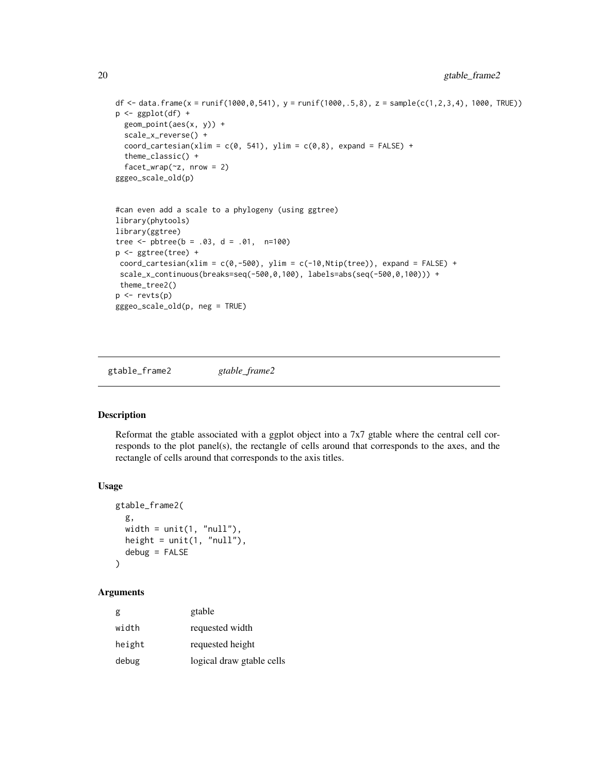```
20 gtable_frame2
```

```
df \le data.frame(x = runif(1000,0,541), y = runif(1000,.5,8), z = sample(c(1,2,3,4), 1000, TRUE))
p \leftarrow ggplot(df) +
 geom_point(aes(x, y)) +
 scale_x_reverse() +
 coord\_cartesian(xlim = c(0, 541), ylim = c(0, 8), expand = FALSE) +theme_classic() +
 factor_{wrap(\sim z, nrow = 2)}gggeo_scale_old(p)
#can even add a scale to a phylogeny (using ggtree)
library(phytools)
library(ggtree)
tree \le- pbtree(b = .03, d = .01, n=100)
p <- ggtree(tree) +
coord\_cartesian(xlim = c(0, -500), ylim = c(-10, Ntip(tree)), expand = FALSE) +scale_x_continuous(breaks=seq(-500,0,100), labels=abs(seq(-500,0,100))) +
theme_tree2()
p <- revts(p)
gggeo_scale_old(p, neg = TRUE)
```
gtable\_frame2 *gtable\_frame2*

#### Description

Reformat the gtable associated with a ggplot object into a 7x7 gtable where the central cell corresponds to the plot panel(s), the rectangle of cells around that corresponds to the axes, and the rectangle of cells around that corresponds to the axis titles.

#### Usage

```
gtable_frame2(
  g,
 width = unit(1, "null"),height = unit(1, "null"),debug = FALSE
)
```

| g      | gtable                    |
|--------|---------------------------|
| width  | requested width           |
| height | requested height          |
| debug  | logical draw gtable cells |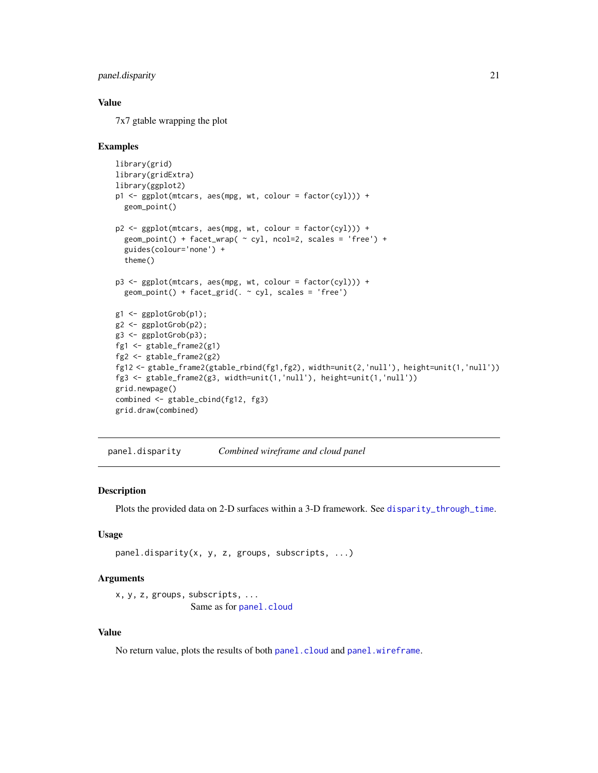#### <span id="page-20-0"></span>panel.disparity 21

#### Value

7x7 gtable wrapping the plot

#### Examples

```
library(grid)
library(gridExtra)
library(ggplot2)
p1 <- ggplot(mtcars, aes(mpg, wt, colour = factor(cyl))) +
  geom_point()
p2 <- ggplot(mtcars, aes(mpg, wt, colour = factor(cyl))) +
  geom\_point() + face\_wrap( \sim cyl, ncol=2, scales = 'free') +
  guides(colour='none') +
  theme()
p3 <- ggplot(mtcars, aes(mpg, wt, colour = factor(cyl))) +
  geom\_point() + facet\_grid( . ~ cyl, scales = 'free')g1 <- ggplotGrob(p1);
g2 <- ggplotGrob(p2);
g3 <- ggplotGrob(p3);
fg1 <- gtable_frame2(g1)
fg2 <- gtable_frame2(g2)
fg12 <- gtable_frame2(gtable_rbind(fg1,fg2), width=unit(2,'null'), height=unit(1,'null'))
fg3 <- gtable_frame2(g3, width=unit(1,'null'), height=unit(1,'null'))
grid.newpage()
combined <- gtable_cbind(fg12, fg3)
grid.draw(combined)
```
panel.disparity *Combined wireframe and cloud panel*

#### Description

Plots the provided data on 2-D surfaces within a 3-D framework. See [disparity\\_through\\_time](#page-6-1).

#### Usage

```
panel.disparity(x, y, z, groups, subscripts, ...)
```
#### Arguments

```
x, y, z, groups, subscripts, ...
                Same as for panel.cloud
```
#### Value

No return value, plots the results of both [panel.cloud](#page-0-0) and [panel.wireframe](#page-0-0).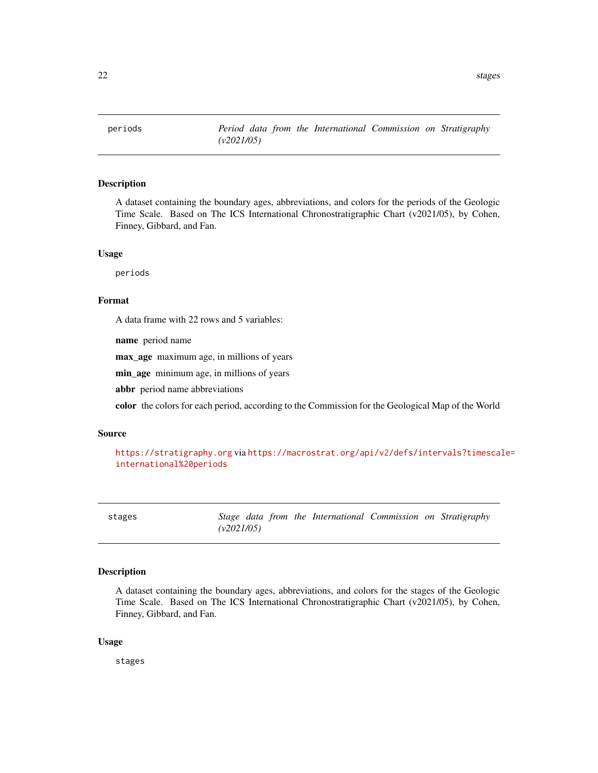<span id="page-21-0"></span>

#### Description

A dataset containing the boundary ages, abbreviations, and colors for the periods of the Geologic Time Scale. Based on The ICS International Chronostratigraphic Chart (v2021/05), by Cohen, Finney, Gibbard, and Fan.

#### Usage

periods

#### Format

A data frame with 22 rows and 5 variables:

name period name

max\_age maximum age, in millions of years

min\_age minimum age, in millions of years

abbr period name abbreviations

color the colors for each period, according to the Commission for the Geological Map of the World

#### Source

```
https://stratigraphy.org via https://macrostrat.org/api/v2/defs/intervals?timescale=
international%20periods
```
stages *Stage data from the International Commission on Stratigraphy (v2021/05)*

#### Description

A dataset containing the boundary ages, abbreviations, and colors for the stages of the Geologic Time Scale. Based on The ICS International Chronostratigraphic Chart (v2021/05), by Cohen, Finney, Gibbard, and Fan.

#### Usage

stages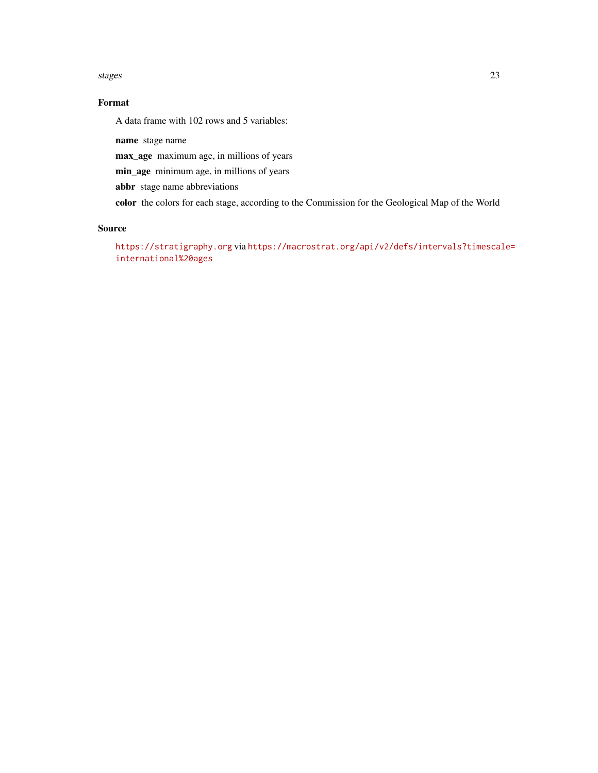#### stages 23

#### Format

A data frame with 102 rows and 5 variables:

name stage name

max\_age maximum age, in millions of years

min\_age minimum age, in millions of years

abbr stage name abbreviations

color the colors for each stage, according to the Commission for the Geological Map of the World

#### Source

<https://stratigraphy.org> via [https://macrostrat.org/api/v2/defs/intervals?timescal](https://macrostrat.org/api/v2/defs/intervals?timescale=international%20ages)e= [international%20ages](https://macrostrat.org/api/v2/defs/intervals?timescale=international%20ages)